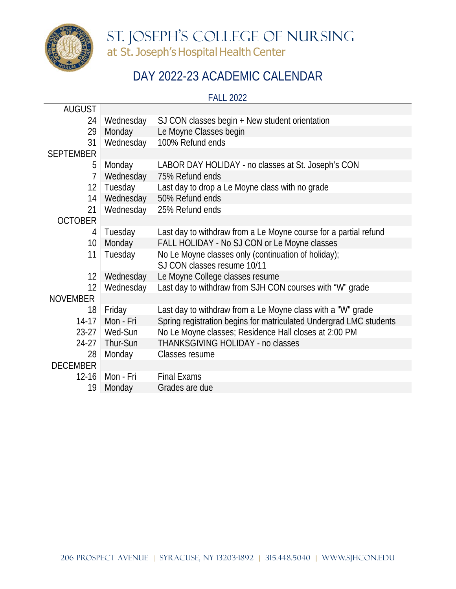

St. Joseph's College of Nursing at St. Joseph's Hospital Health Center

## DAY 2022-23 ACADEMIC CALENDAR

FALL 2022

| <b>AUGUST</b>     |                 |                                                                    |
|-------------------|-----------------|--------------------------------------------------------------------|
| 24                | Wednesday       | SJ CON classes begin + New student orientation                     |
| 29                | Monday          | Le Moyne Classes begin                                             |
| 31                | Wednesday       | 100% Refund ends                                                   |
| <b>SEPTEMBER</b>  |                 |                                                                    |
| 5                 | Monday          | LABOR DAY HOLIDAY - no classes at St. Joseph's CON                 |
| $\overline{1}$    | Wednesday       | 75% Refund ends                                                    |
| $12 \overline{ }$ | Tuesday         | Last day to drop a Le Moyne class with no grade                    |
| 14                | Wednesday       | 50% Refund ends                                                    |
| 21                | Wednesday       | 25% Refund ends                                                    |
| <b>OCTOBER</b>    |                 |                                                                    |
| 4                 | Tuesday         | Last day to withdraw from a Le Moyne course for a partial refund   |
| 10 <sup>°</sup>   | Monday          | FALL HOLIDAY - No SJ CON or Le Moyne classes                       |
| 11                | Tuesday         | No Le Moyne classes only (continuation of holiday);                |
|                   |                 | SJ CON classes resume 10/11                                        |
| 12                | Wednesday       | Le Moyne College classes resume                                    |
| 12                | Wednesday       | Last day to withdraw from SJH CON courses with "W" grade           |
| <b>NOVEMBER</b>   |                 |                                                                    |
| 18                | Friday          | Last day to withdraw from a Le Moyne class with a "W" grade        |
| $14-17$           | Mon - Fri       | Spring registration begins for matriculated Undergrad LMC students |
|                   | 23-27   Wed-Sun | No Le Moyne classes; Residence Hall closes at 2:00 PM              |
| $24-27$           | Thur-Sun        | THANKSGIVING HOLIDAY - no classes                                  |
| 28                | Monday          | Classes resume                                                     |
| <b>DECEMBER</b>   |                 |                                                                    |
| $12 - 16$         | Mon - Fri       | <b>Final Exams</b>                                                 |
| 19                | Monday          | Grades are due                                                     |
|                   |                 |                                                                    |